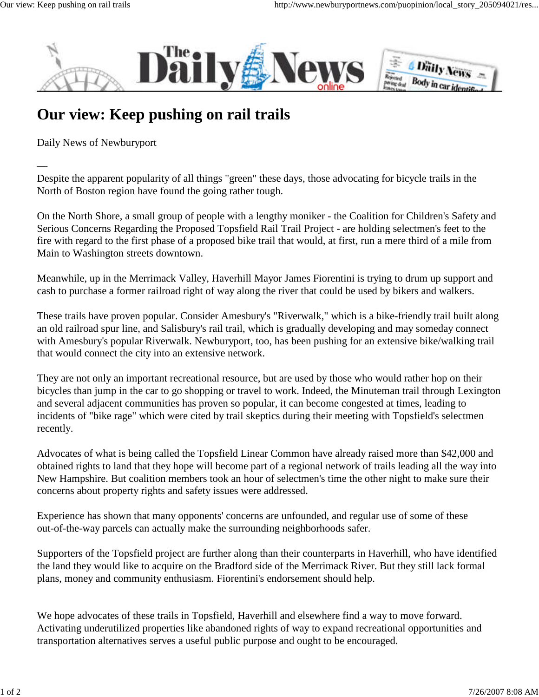—



## **Our view: Keep pushing on rail trails**

Daily News of Newburyport

Despite the apparent popularity of all things "green" these days, those advocating for bicycle trails in the North of Boston region have found the going rather tough.

On the North Shore, a small group of people with a lengthy moniker - the Coalition for Children's Safety and Serious Concerns Regarding the Proposed Topsfield Rail Trail Project - are holding selectmen's feet to the fire with regard to the first phase of a proposed bike trail that would, at first, run a mere third of a mile from Main to Washington streets downtown.

Meanwhile, up in the Merrimack Valley, Haverhill Mayor James Fiorentini is trying to drum up support and cash to purchase a former railroad right of way along the river that could be used by bikers and walkers.

These trails have proven popular. Consider Amesbury's "Riverwalk," which is a bike-friendly trail built along an old railroad spur line, and Salisbury's rail trail, which is gradually developing and may someday connect with Amesbury's popular Riverwalk. Newburyport, too, has been pushing for an extensive bike/walking trail that would connect the city into an extensive network.

They are not only an important recreational resource, but are used by those who would rather hop on their bicycles than jump in the car to go shopping or travel to work. Indeed, the Minuteman trail through Lexington and several adjacent communities has proven so popular, it can become congested at times, leading to incidents of "bike rage" which were cited by trail skeptics during their meeting with Topsfield's selectmen recently.

Advocates of what is being called the Topsfield Linear Common have already raised more than \$42,000 and obtained rights to land that they hope will become part of a regional network of trails leading all the way into New Hampshire. But coalition members took an hour of selectmen's time the other night to make sure their concerns about property rights and safety issues were addressed.

Experience has shown that many opponents' concerns are unfounded, and regular use of some of these out-of-the-way parcels can actually make the surrounding neighborhoods safer.

Supporters of the Topsfield project are further along than their counterparts in Haverhill, who have identified the land they would like to acquire on the Bradford side of the Merrimack River. But they still lack formal plans, money and community enthusiasm. Fiorentini's endorsement should help.

We hope advocates of these trails in Topsfield, Haverhill and elsewhere find a way to move forward. Activating underutilized properties like abandoned rights of way to expand recreational opportunities and transportation alternatives serves a useful public purpose and ought to be encouraged.